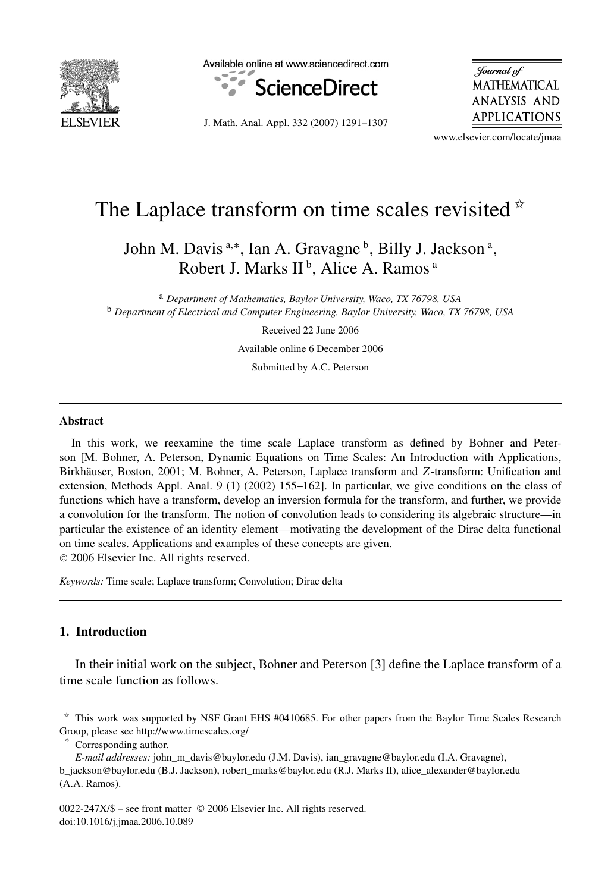

Available online at www.sciencedirect.com



J. Math. Anal. Appl. 332 (2007) 1291–1307

Journal of MATHEMATICAL **ANALYSIS AND** APPLICATIONS

www.elsevier.com/locate/jmaa

# The Laplace transform on time scales revisited  $*$

John M. Davis <sup>a,∗</sup>, Ian A. Gravagne <sup>b</sup>, Billy J. Jackson <sup>a</sup>, Robert J. Marks II<sup>b</sup>, Alice A. Ramos<sup>a</sup>

<sup>a</sup> *Department of Mathematics, Baylor University, Waco, TX 76798, USA* <sup>b</sup> *Department of Electrical and Computer Engineering, Baylor University, Waco, TX 76798, USA*

Received 22 June 2006

Available online 6 December 2006

Submitted by A.C. Peterson

#### **Abstract**

In this work, we reexamine the time scale Laplace transform as defined by Bohner and Peterson [M. Bohner, A. Peterson, Dynamic Equations on Time Scales: An Introduction with Applications, Birkhäuser, Boston, 2001; M. Bohner, A. Peterson, Laplace transform and *Z*-transform: Unification and extension, Methods Appl. Anal. 9 (1) (2002) 155–162]. In particular, we give conditions on the class of functions which have a transform, develop an inversion formula for the transform, and further, we provide a convolution for the transform. The notion of convolution leads to considering its algebraic structure—in particular the existence of an identity element—motivating the development of the Dirac delta functional on time scales. Applications and examples of these concepts are given. © 2006 Elsevier Inc. All rights reserved.

*Keywords:* Time scale; Laplace transform; Convolution; Dirac delta

# **1. Introduction**

In their initial work on the subject, Bohner and Peterson [3] define the Laplace transform of a time scale function as follows.

 $*$  This work was supported by NSF Grant EHS #0410685. For other papers from the Baylor Time Scales Research Group, please see http://www.timescales.org/

Corresponding author.

*E-mail addresses:* john\_m\_davis@baylor.edu (J.M. Davis), ian\_gravagne@baylor.edu (I.A. Gravagne), b\_jackson@baylor.edu (B.J. Jackson), robert\_marks@baylor.edu (R.J. Marks II), alice\_alexander@baylor.edu (A.A. Ramos).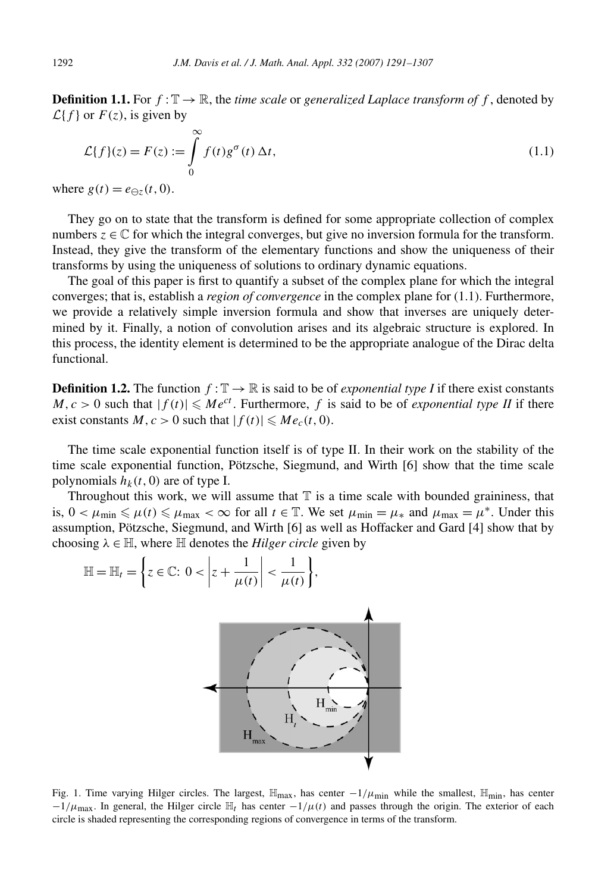**Definition 1.1.** For  $f: \mathbb{T} \to \mathbb{R}$ , the *time scale* or *generalized Laplace transform of*  $f$ , denoted by  $\mathcal{L}{f}$  or  $F(z)$ , is given by

$$
\mathcal{L}{f}(z) = F(z) := \int_{0}^{\infty} f(t)g^{\sigma}(t) \Delta t,
$$
\n(1.1)

where  $g(t) = e_{\Theta z}(t, 0)$ .

They go on to state that the transform is defined for some appropriate collection of complex numbers  $z \in \mathbb{C}$  for which the integral converges, but give no inversion formula for the transform. Instead, they give the transform of the elementary functions and show the uniqueness of their transforms by using the uniqueness of solutions to ordinary dynamic equations.

The goal of this paper is first to quantify a subset of the complex plane for which the integral converges; that is, establish a *region of convergence* in the complex plane for (1.1). Furthermore, we provide a relatively simple inversion formula and show that inverses are uniquely determined by it. Finally, a notion of convolution arises and its algebraic structure is explored. In this process, the identity element is determined to be the appropriate analogue of the Dirac delta functional.

**Definition 1.2.** The function  $f: \mathbb{T} \to \mathbb{R}$  is said to be of *exponential type I* if there exist constants  $M, c > 0$  such that  $|f(t)| \leq Me^{ct}$ . Furthermore, f is said to be of *exponential type II* if there exist constants  $M, c > 0$  such that  $|f(t)| \leq M e_c(t, 0)$ .

The time scale exponential function itself is of type II. In their work on the stability of the time scale exponential function, Pötzsche, Siegmund, and Wirth [6] show that the time scale polynomials  $h_k(t, 0)$  are of type I.

Throughout this work, we will assume that  $T$  is a time scale with bounded graininess, that is,  $0 < \mu_{\min} \leq \mu(t) \leq \mu_{\max} < \infty$  for all  $t \in \mathbb{T}$ . We set  $\mu_{\min} = \mu_*$  and  $\mu_{\max} = \mu^*$ . Under this assumption, Pötzsche, Siegmund, and Wirth [6] as well as Hoffacker and Gard [4] show that by choosing  $\lambda \in \mathbb{H}$ , where  $\mathbb H$  denotes the *Hilger circle* given by



Fig. 1. Time varying Hilger circles. The largest,  $\mathbb{H}_{max}$ , has center  $-1/\mu_{min}$  while the smallest,  $\mathbb{H}_{min}$ , has center  $-1/\mu_{\text{max}}$ . In general, the Hilger circle  $\mathbb{H}_t$  has center  $-1/\mu(t)$  and passes through the origin. The exterior of each circle is shaded representing the corresponding regions of convergence in terms of the transform.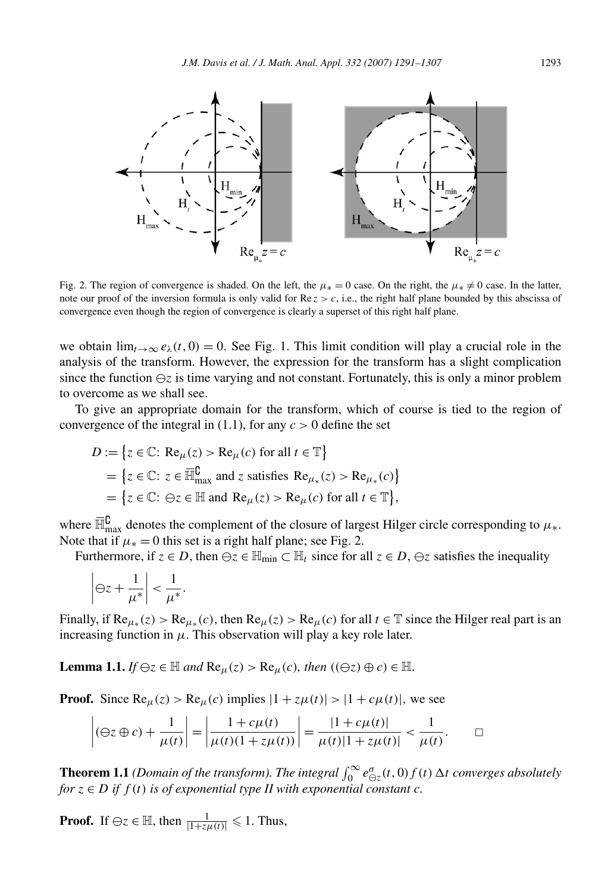

Fig. 2. The region of convergence is shaded. On the left, the  $\mu_* = 0$  case. On the right, the  $\mu_* \neq 0$  case. In the latter, note our proof of the inversion formula is only valid for Re *z>c*, i.e., the right half plane bounded by this abscissa of convergence even though the region of convergence is clearly a superset of this right half plane.

we obtain  $\lim_{t\to\infty}e_\lambda(t,0)=0$ . See Fig. 1. This limit condition will play a crucial role in the analysis of the transform. However, the expression for the transform has a slight complication since the function  $\ominus z$  is time varying and not constant. Fortunately, this is only a minor problem to overcome as we shall see.

To give an appropriate domain for the transform, which of course is tied to the region of convergence of the integral in (1.1), for any  $c > 0$  define the set

$$
D := \{ z \in \mathbb{C} : \text{Re}_{\mu}(z) > \text{Re}_{\mu}(c) \text{ for all } t \in \mathbb{T} \}
$$
  
=  $\{ z \in \mathbb{C} : z \in \overline{\mathbb{H}}_{\text{max}}^{\complement} \text{ and } z \text{ satisfies } \text{Re}_{\mu_*}(z) > \text{Re}_{\mu_*}(c) \}$   
=  $\{ z \in \mathbb{C} : \Theta z \in \mathbb{H} \text{ and } \text{Re}_{\mu}(z) > \text{Re}_{\mu}(c) \text{ for all } t \in \mathbb{T} \},$ 

where  $\overline{\mathbb{H}}_{\max}^{\complement}$  denotes the complement of the closure of largest Hilger circle corresponding to  $\mu_*$ . Note that if  $\mu_* = 0$  this set is a right half plane; see Fig. 2.

Furthermore, if  $z \in D$ , then  $\ominus z \in \mathbb{H}_{\text{min}} \subset \mathbb{H}_t$  since for all  $z \in D$ ,  $\ominus z$  satisfies the inequality

$$
\left|\ominus z+\frac{1}{\mu^*}\right|<\frac{1}{\mu^*}.
$$

Finally, if  $\text{Re}_{\mu_*}(z) > \text{Re}_{\mu_*}(c)$ , then  $\text{Re}_{\mu}(z) > \text{Re}_{\mu}(c)$  for all  $t \in \mathbb{T}$  since the Hilger real part is an increasing function in  $\mu$ . This observation will play a key role later.

**Lemma 1.1.** *If*  $\ominus z \in \mathbb{H}$  *and*  $\text{Re}_{\mu}(z) > \text{Re}_{\mu}(c)$ *, then*  $((\ominus z) \oplus c) \in \mathbb{H}$ *.* 

**Proof.** Since  $\text{Re}_{\mu}(z) > \text{Re}_{\mu}(c)$  implies  $|1 + z\mu(t)| > |1 + c\mu(t)|$ , we see

$$
\left| (\Theta z \oplus c) + \frac{1}{\mu(t)} \right| = \left| \frac{1 + c\mu(t)}{\mu(t)(1 + z\mu(t))} \right| = \frac{|1 + c\mu(t)|}{\mu(t)|1 + z\mu(t)|} < \frac{1}{\mu(t)}.
$$

**Theorem 1.1** *(Domain of the transform). The integral*  $\int_0^\infty e_{\Theta z}^\sigma(t,0) f(t) \Delta t$  converges absolutely *for*  $z \in D$  *if*  $f(t)$  *is of exponential type II with exponential constant c.* 

**Proof.** If  $\ominus z \in \mathbb{H}$ , then  $\frac{1}{|1+z\mu(t)|} \leq 1$ . Thus,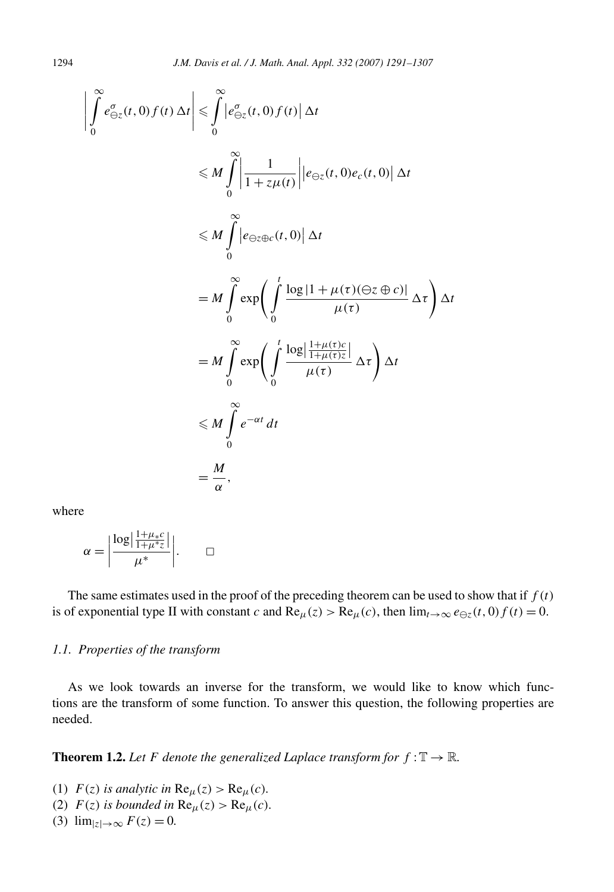$$
\left| \int_{0}^{\infty} e_{\Theta z}^{\sigma}(t,0) f(t) \Delta t \right| \leq \int_{0}^{\infty} \left| e_{\Theta z}^{\sigma}(t,0) f(t) \right| \Delta t
$$
  

$$
\leq M \int_{0}^{\infty} \left| \frac{1}{1 + z \mu(t)} \right| \left| e_{\Theta z}(t,0) e_{c}(t,0) \right| \Delta t
$$
  

$$
\leq M \int_{0}^{\infty} \left| e_{\Theta z \oplus c}(t,0) \right| \Delta t
$$
  

$$
= M \int_{0}^{\infty} \exp \left( \int_{0}^{t} \frac{\log |1 + \mu(\tau)(\Theta z \oplus c)|}{\mu(\tau)} \Delta \tau \right) \Delta t
$$
  

$$
= M \int_{0}^{\infty} \exp \left( \int_{0}^{t} \frac{\log \left| \frac{1 + \mu(\tau)c}{1 + \mu(\tau)z} \right|}{\mu(\tau)} \Delta \tau \right) \Delta t
$$
  

$$
\leq M \int_{0}^{\infty} e^{-\alpha t} dt
$$
  

$$
= \frac{M}{\alpha},
$$

where

$$
\alpha = \left| \frac{\log \left| \frac{1 + \mu * c}{1 + \mu^* z} \right|}{\mu^*} \right|.
$$

The same estimates used in the proof of the preceding theorem can be used to show that if  $f(t)$ is of exponential type II with constant *c* and  $\text{Re}_{\mu}(z) > \text{Re}_{\mu}(c)$ , then  $\lim_{t \to \infty} e_{\Theta z}(t, 0) f(t) = 0$ .

# *1.1. Properties of the transform*

As we look towards an inverse for the transform, we would like to know which functions are the transform of some function. To answer this question, the following properties are needed.

**Theorem 1.2.** *Let F* denote the generalized Laplace transform for  $f : \mathbb{T} \to \mathbb{R}$ *.* 

(1)  $F(z)$  *is analytic in*  $\text{Re}_{\mu}(z) > \text{Re}_{\mu}(c)$ *.* 

- (2)  $F(z)$  *is bounded in*  $\text{Re}_{\mu}(z) > \text{Re}_{\mu}(c)$ *.*
- (3)  $\lim_{|z| \to \infty} F(z) = 0.$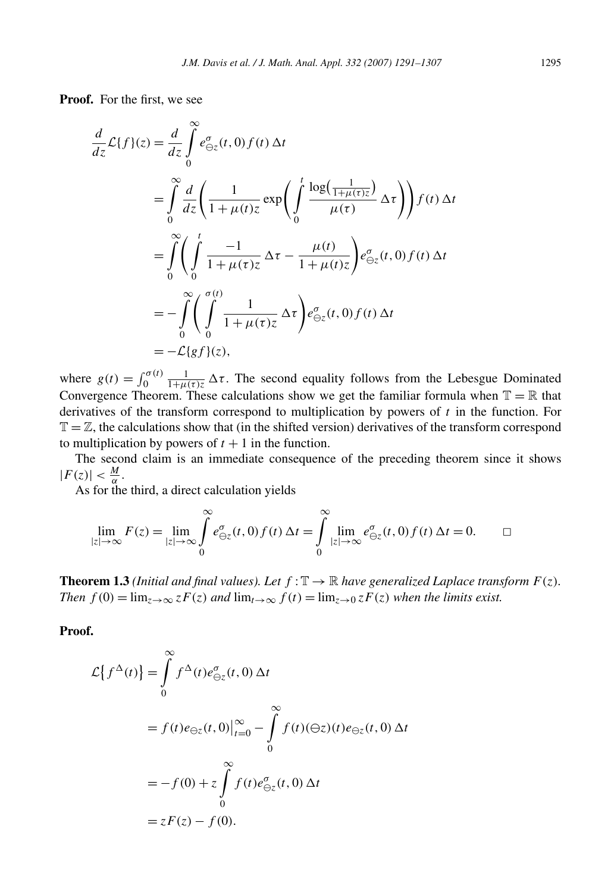**Proof.** For the first, we see

$$
\frac{d}{dz}\mathcal{L}{f}(z) = \frac{d}{dz}\int_{0}^{\infty} e_{\Theta z}^{\sigma}(t,0) f(t) \Delta t
$$
\n
$$
= \int_{0}^{\infty} \frac{d}{dz} \left( \frac{1}{1 + \mu(t)z} \exp\left( \int_{0}^{t} \frac{\log(\frac{1}{1 + \mu(t)z})}{\mu(t)} \Delta \tau \right) \right) f(t) \Delta t
$$
\n
$$
= \int_{0}^{\infty} \left( \int_{0}^{t} \frac{-1}{1 + \mu(t)z} \Delta \tau - \frac{\mu(t)}{1 + \mu(t)z} \right) e_{\Theta z}^{\sigma}(t,0) f(t) \Delta t
$$
\n
$$
= -\int_{0}^{\infty} \left( \int_{0}^{\sigma(t)} \frac{1}{1 + \mu(t)z} \Delta \tau \right) e_{\Theta z}^{\sigma}(t,0) f(t) \Delta t
$$
\n
$$
= -\mathcal{L}{gf}(z),
$$

where  $g(t) = \int_0^{\sigma(t)} \frac{1}{1 + \mu(\tau)z} \Delta \tau$ . The second equality follows from the Lebesgue Dominated Convergence Theorem. These calculations show we get the familiar formula when  $\mathbb{T} = \mathbb{R}$  that derivatives of the transform correspond to multiplication by powers of *t* in the function. For  $\mathbb{T} = \mathbb{Z}$ , the calculations show that (in the shifted version) derivatives of the transform correspond to multiplication by powers of  $t + 1$  in the function.

The second claim is an immediate consequence of the preceding theorem since it shows  $|F(z)| < \frac{M}{\alpha}$ .

As for the third, a direct calculation yields

$$
\lim_{|z| \to \infty} F(z) = \lim_{|z| \to \infty} \int_{0}^{\infty} e_{\ominus z}^{\sigma}(t,0) f(t) \, \Delta t = \int_{0}^{\infty} \lim_{|z| \to \infty} e_{\ominus z}^{\sigma}(t,0) f(t) \, \Delta t = 0. \qquad \Box
$$

**Theorem 1.3** *(Initial and final values). Let*  $f : \mathbb{T} \to \mathbb{R}$  *have generalized Laplace transform*  $F(z)$ *. Then*  $f(0) = \lim_{z \to \infty} zF(z)$  *and*  $\lim_{t \to \infty} f(t) = \lim_{z \to 0} zF(z)$  *when the limits exist.* 

**Proof.**

$$
\mathcal{L}\lbrace f^{\Delta}(t)\rbrace = \int_{0}^{\infty} f^{\Delta}(t)e_{\Theta z}^{\sigma}(t,0)\Delta t
$$
  
=  $f(t)e_{\Theta z}(t,0)\Big|_{t=0}^{\infty} - \int_{0}^{\infty} f(t)(\Theta z)(t)e_{\Theta z}(t,0)\Delta t$   
=  $-f(0) + z \int_{0}^{\infty} f(t)e_{\Theta z}^{\sigma}(t,0)\Delta t$   
=  $zF(z) - f(0).$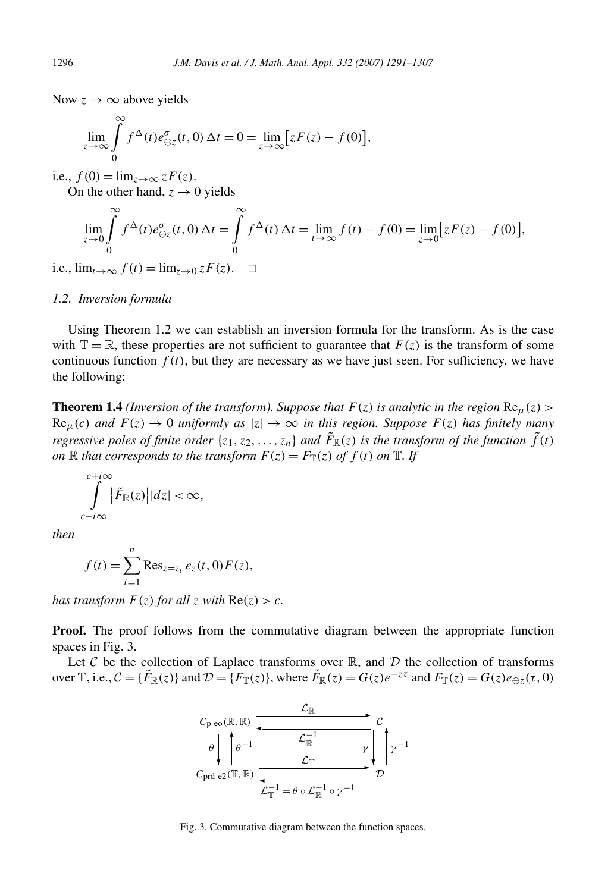Now  $z \rightarrow \infty$  above yields

$$
\lim_{z \to \infty} \int_{0}^{\infty} f^{\Delta}(t) e^{\sigma}_{\Theta z}(t,0) \Delta t = 0 = \lim_{z \to \infty} [zF(z) - f(0)],
$$

i.e.,  $f(0) = \lim_{z \to \infty} zF(z)$ .

On the other hand,  $z \rightarrow 0$  yields

$$
\lim_{z \to 0} \int_{0}^{\infty} f^{\Delta}(t) e^{\sigma}_{\Theta z}(t,0) \Delta t = \int_{0}^{\infty} f^{\Delta}(t) \Delta t = \lim_{t \to \infty} f(t) - f(0) = \lim_{z \to 0} [zF(z) - f(0)],
$$

i.e.,  $\lim_{t\to\infty} f(t) = \lim_{z\to 0} zF(z)$ . □

#### *1.2. Inversion formula*

Using Theorem 1.2 we can establish an inversion formula for the transform. As is the case with  $\mathbb{T} = \mathbb{R}$ , these properties are not sufficient to guarantee that  $F(z)$  is the transform of some continuous function  $f(t)$ , but they are necessary as we have just seen. For sufficiency, we have the following:

**Theorem 1.4** *(Inversion of the transform). Suppose that*  $F(z)$  *is analytic in the region*  $Re<sub>u</sub>(z)$  >  $\text{Re}_{\mu}(c)$  *and*  $F(z) \rightarrow 0$  *uniformly as*  $|z| \rightarrow \infty$  *in this region. Suppose*  $F(z)$  *has finitely many regressive poles of finite order*  $\{z_1, z_2, \ldots, z_n\}$  *and*  $\tilde{F}_{\mathbb{R}}(z)$  *is the transform of the function*  $\tilde{f}(t)$ *on*  $\mathbb R$  *that corresponds to the transform*  $F(z) = F_{\mathbb T}(z)$  *of*  $f(t)$  *on*  $\mathbb T$ *. If* 

$$
\int_{c-i\infty}^{c+i\infty} |\tilde{F}_{\mathbb{R}}(z)||dz| < \infty,
$$

*then*

$$
f(t) = \sum_{i=1}^{n} \text{Res}_{z=z_i} e_z(t, 0) F(z),
$$

*has transform*  $F(z)$  *for all*  $z$  *with*  $Re(z) > c$ *.* 

**Proof.** The proof follows from the commutative diagram between the appropriate function spaces in Fig. 3.

Let  $C$  be the collection of Laplace transforms over  $\mathbb R$ , and  $\mathcal D$  the collection of transforms over  $\mathbb{T}$ , i.e.,  $\mathcal{C} = {\{\tilde{F}_{\mathbb{R}}(z)\}}$  and  $\mathcal{D} = {\{F_{\mathbb{T}}(z)\}}$ , where  $\tilde{F}_{\mathbb{R}}(z) = G(z)e^{-z\tau}$  and  $F_{\mathbb{T}}(z) = G(z)e_{\ominus z}(\tau, 0)$ 



Fig. 3. Commutative diagram between the function spaces.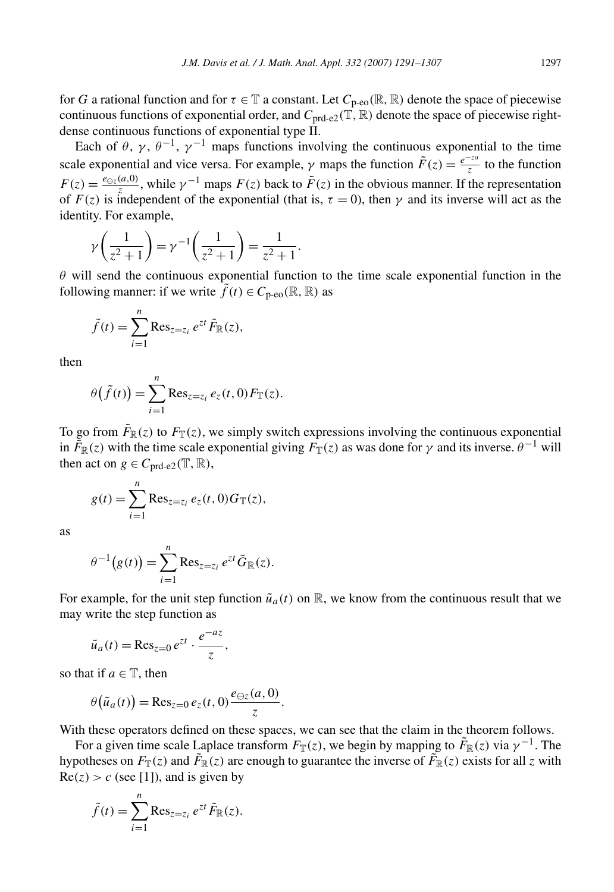for *G* a rational function and for  $\tau \in \mathbb{T}$  a constant. Let  $C_{p\text{-}eo}(\mathbb{R}, \mathbb{R})$  denote the space of piecewise continuous functions of exponential order, and  $C_{\text{prd-e2}}(\mathbb{T}, \mathbb{R})$  denote the space of piecewise rightdense continuous functions of exponential type II.

Each of  $\theta$ ,  $\gamma$ ,  $\theta^{-1}$ ,  $\gamma^{-1}$  maps functions involving the continuous exponential to the time scale exponential and vice versa. For example,  $\gamma$  maps the function  $\tilde{F}(z) = \frac{e^{-z a}}{z}$  to the function  $F(z) = \frac{e_{\Theta z}(a,0)}{z}$ , while  $\gamma^{-1}$  maps  $F(z)$  back to  $\tilde{F}(z)$  in the obvious manner. If the representation of  $F(z)$  is independent of the exponential (that is,  $\tau = 0$ ), then  $\gamma$  and its inverse will act as the identity. For example,

$$
\gamma\left(\frac{1}{z^2+1}\right) = \gamma^{-1}\left(\frac{1}{z^2+1}\right) = \frac{1}{z^2+1}.
$$

*θ* will send the continuous exponential function to the time scale exponential function in the following manner: if we write  $\tilde{f}(t) \in C_{p\text{-}eo}(\mathbb{R}, \mathbb{R})$  as

$$
\tilde{f}(t) = \sum_{i=1}^{n} \text{Res}_{z=z_i} e^{zt} \tilde{F}_{\mathbb{R}}(z),
$$

then

$$
\theta(\tilde{f}(t)) = \sum_{i=1}^n \text{Res}_{z=z_i} e_z(t,0) F_{\mathbb{T}}(z).
$$

To go from  $\tilde{F}_\mathbb{R}(z)$  to  $F_\mathbb{T}(z)$ , we simply switch expressions involving the continuous exponential in  $\tilde{F}_{\mathbb{R}}(z)$  with the time scale exponential giving  $F_{\mathbb{T}}(z)$  as was done for  $\gamma$  and its inverse.  $\theta^{-1}$  will then act on  $g \in C_{\text{ord-e2}}(\mathbb{T}, \mathbb{R}),$ 

$$
g(t) = \sum_{i=1}^{n} \text{Res}_{z=z_i} e_z(t, 0) G_{\mathbb{T}}(z),
$$

as

$$
\theta^{-1}(g(t)) = \sum_{i=1}^n \operatorname{Res}_{z=z_i} e^{zt} \tilde{G}_{\mathbb{R}}(z).
$$

For example, for the unit step function  $\tilde{u}_a(t)$  on  $\mathbb{R}$ , we know from the continuous result that we may write the step function as

$$
\tilde{u}_a(t) = \operatorname{Res}_{z=0} e^{zt} \cdot \frac{e^{-az}}{z},
$$

so that if  $a \in \mathbb{T}$ , then

$$
\theta\big(\tilde{u}_a(t)\big) = \text{Res}_{z=0} \, e_z(t,0) \frac{e_{\ominus z}(a,0)}{z}.
$$

With these operators defined on these spaces, we can see that the claim in the theorem follows.

For a given time scale Laplace transform  $F_{\mathbb{T}}(z)$ , we begin by mapping to  $\tilde{F}_{\mathbb{R}}(z)$  via  $\gamma^{-1}$ . The hypotheses on  $F_{\mathbb{T}}(z)$  and  $\tilde{F}_{\mathbb{R}}(z)$  are enough to guarantee the inverse of  $\tilde{F}_{\mathbb{R}}(z)$  exists for all *z* with  $Re(z) > c$  (see [1]), and is given by

$$
\tilde{f}(t) = \sum_{i=1}^{n} \text{Res}_{z=z_i} e^{zt} \tilde{F}_{\mathbb{R}}(z).
$$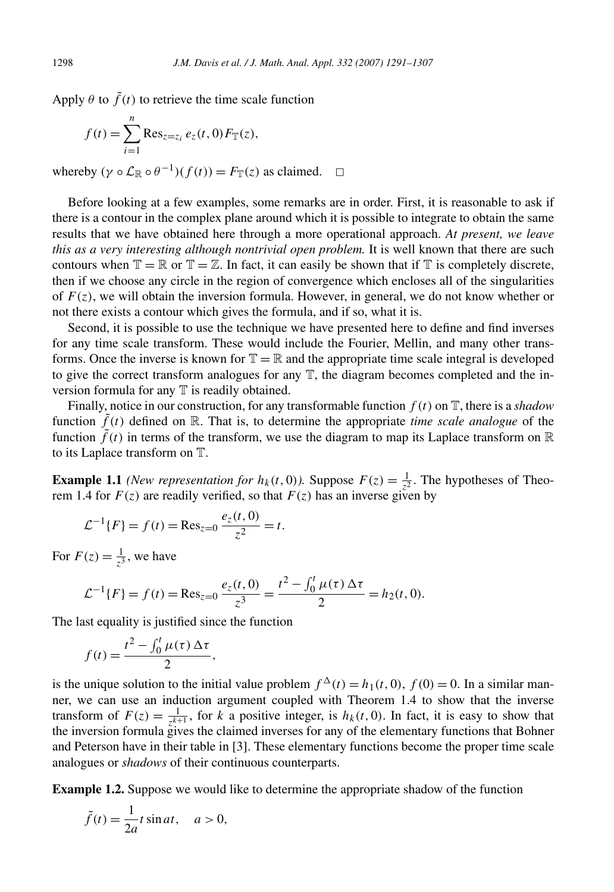Apply  $\theta$  to  $\tilde{f}(t)$  to retrieve the time scale function

$$
f(t) = \sum_{i=1}^{n} \text{Res}_{z=z_i} e_z(t, 0) F_{\mathbb{T}}(z),
$$

whereby  $(\gamma \circ \mathcal{L}_\mathbb{R} \circ \theta^{-1})(f(t)) = F_\mathbb{T}(z)$  as claimed.  $\Box$ 

Before looking at a few examples, some remarks are in order. First, it is reasonable to ask if there is a contour in the complex plane around which it is possible to integrate to obtain the same results that we have obtained here through a more operational approach. *At present, we leave this as a very interesting although nontrivial open problem.* It is well known that there are such contours when  $\mathbb{T} = \mathbb{R}$  or  $\mathbb{T} = \mathbb{Z}$ . In fact, it can easily be shown that if  $\mathbb{T}$  is completely discrete, then if we choose any circle in the region of convergence which encloses all of the singularities of  $F(z)$ , we will obtain the inversion formula. However, in general, we do not know whether or not there exists a contour which gives the formula, and if so, what it is.

Second, it is possible to use the technique we have presented here to define and find inverses for any time scale transform. These would include the Fourier, Mellin, and many other transforms. Once the inverse is known for  $\mathbb{T} = \mathbb{R}$  and the appropriate time scale integral is developed to give the correct transform analogues for any T, the diagram becomes completed and the inversion formula for any  $T$  is readily obtained.

Finally, notice in our construction, for any transformable function *f (t)* on T, there is a *shadow* function  $\tilde{f}(t)$  defined on R. That is, to determine the appropriate *time scale analogue* of the function  $f(t)$  in terms of the transform, we use the diagram to map its Laplace transform on  $\mathbb R$ to its Laplace transform on T.

**Example 1.1** *(New representation for*  $h_k(t, 0)$ *)*. Suppose  $F(z) = \frac{1}{z^2}$ . The hypotheses of Theorem 1.4 for  $F(z)$  are readily verified, so that  $F(z)$  has an inverse given by

$$
\mathcal{L}^{-1}{F} = f(t) = \text{Res}_{z=0} \frac{e_z(t,0)}{z^2} = t.
$$

For  $F(z) = \frac{1}{z^3}$ , we have

$$
\mathcal{L}^{-1}{F} = f(t) = \text{Res}_{z=0} \frac{e_z(t,0)}{z^3} = \frac{t^2 - \int_0^t \mu(\tau) \Delta \tau}{2} = h_2(t,0).
$$

The last equality is justified since the function

$$
f(t) = \frac{t^2 - \int_0^t \mu(\tau) \, \Delta \tau}{2},
$$

is the unique solution to the initial value problem  $f^{\Delta}(t) = h_1(t, 0)$ ,  $f(0) = 0$ . In a similar manner, we can use an induction argument coupled with Theorem 1.4 to show that the inverse transform of  $F(z) = \frac{1}{z^{k+1}}$ , for *k* a positive integer, is  $h_k(t, 0)$ . In fact, it is easy to show that the inversion formula gives the claimed inverses for any of the elementary functions that Bohner and Peterson have in their table in [3]. These elementary functions become the proper time scale analogues or *shadows* of their continuous counterparts.

**Example 1.2.** Suppose we would like to determine the appropriate shadow of the function

$$
\tilde{f}(t) = \frac{1}{2a}t\sin at, \quad a > 0,
$$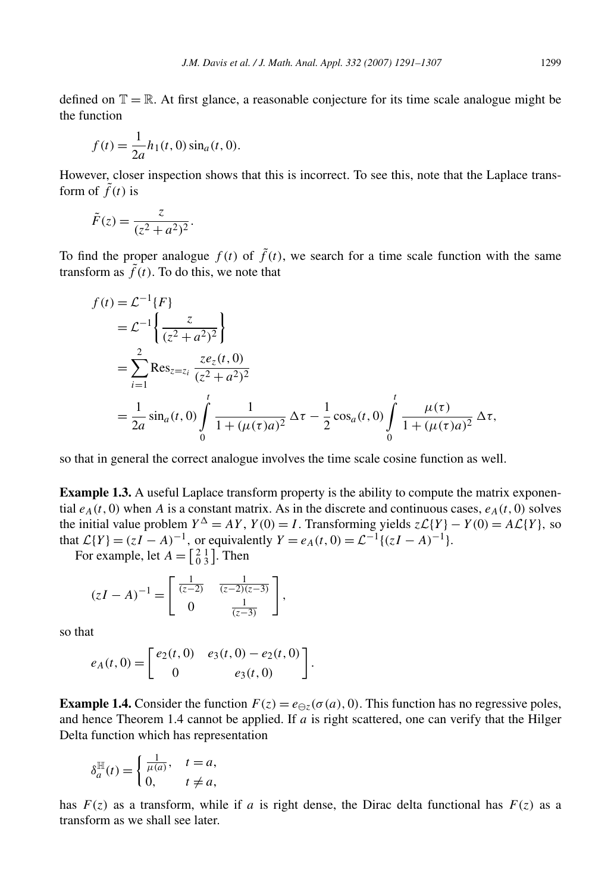defined on  $\mathbb{T} = \mathbb{R}$ . At first glance, a reasonable conjecture for its time scale analogue might be the function

$$
f(t) = \frac{1}{2a}h_1(t, 0)\sin_a(t, 0).
$$

However, closer inspection shows that this is incorrect. To see this, note that the Laplace transform of  $\tilde{f}(t)$  is

$$
\tilde{F}(z) = \frac{z}{(z^2 + a^2)^2}.
$$

To find the proper analogue  $f(t)$  of  $\tilde{f}(t)$ , we search for a time scale function with the same transform as  $\tilde{f}(t)$ . To do this, we note that

$$
f(t) = \mathcal{L}^{-1}{F}
$$
  
=  $\mathcal{L}^{-1}\left\{\frac{z}{(z^2 + a^2)^2}\right\}$   
=  $\sum_{i=1}^{2} \text{Res}_{z=z_i} \frac{ze_z(t, 0)}{(z^2 + a^2)^2}$   
=  $\frac{1}{2a} \sin_a(t, 0) \int_0^t \frac{1}{1 + (\mu(\tau)a)^2} \Delta \tau - \frac{1}{2} \cos_a(t, 0) \int_0^t \frac{\mu(\tau)}{1 + (\mu(\tau)a)^2} \Delta \tau,$ 

so that in general the correct analogue involves the time scale cosine function as well.

**Example 1.3.** A useful Laplace transform property is the ability to compute the matrix exponential  $e_A(t, 0)$  when *A* is a constant matrix. As in the discrete and continuous cases,  $e_A(t, 0)$  solves the initial value problem  $Y^{\Delta} = AY$ ,  $Y(0) = I$ . Transforming yields  $z\mathcal{L}{Y} - Y(0) = A\mathcal{L}{Y}$ , so that  $\mathcal{L}{Y} = (zI - A)^{-1}$ , or equivalently  $Y = e_A(t, 0) = \mathcal{L}^{-1}{(zI - A)^{-1}}$ .

For example, let  $A = \begin{bmatrix} 2 & 1 \\ 0 & 3 \end{bmatrix}$ . Then

$$
(zI - A)^{-1} = \begin{bmatrix} \frac{1}{(z-2)} & \frac{1}{(z-2)(z-3)} \\ 0 & \frac{1}{(z-3)} \end{bmatrix},
$$

so that

$$
e_A(t,0) = \begin{bmatrix} e_2(t,0) & e_3(t,0) - e_2(t,0) \\ 0 & e_3(t,0) \end{bmatrix}.
$$

**Example 1.4.** Consider the function  $F(z) = e_{\Theta z}(\sigma(a), 0)$ . This function has no regressive poles, and hence Theorem 1.4 cannot be applied. If *a* is right scattered, one can verify that the Hilger Delta function which has representation

$$
\delta_a^{\mathbb{H}}(t) = \begin{cases} \frac{1}{\mu(a)}, & t = a, \\ 0, & t \neq a, \end{cases}
$$

has  $F(z)$  as a transform, while if *a* is right dense, the Dirac delta functional has  $F(z)$  as a transform as we shall see later.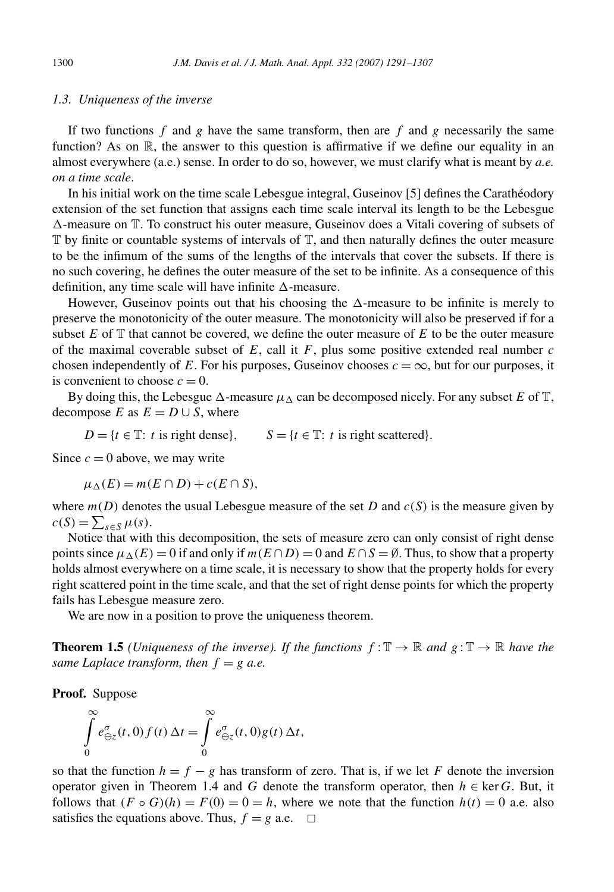#### *1.3. Uniqueness of the inverse*

If two functions  $f$  and  $g$  have the same transform, then are  $f$  and  $g$  necessarily the same function? As on  $\mathbb{R}$ , the answer to this question is affirmative if we define our equality in an almost everywhere (a.e.) sense. In order to do so, however, we must clarify what is meant by *a.e. on a time scale*.

In his initial work on the time scale Lebesgue integral, Guseinov [5] defines the Carathéodory extension of the set function that assigns each time scale interval its length to be the Lebesgue  $\Delta$ -measure on  $\mathbb T$ . To construct his outer measure, Guseinov does a Vitali covering of subsets of  $\mathbb T$  by finite or countable systems of intervals of  $\mathbb T$ , and then naturally defines the outer measure to be the infimum of the sums of the lengths of the intervals that cover the subsets. If there is no such covering, he defines the outer measure of the set to be infinite. As a consequence of this definition, any time scale will have infinite  $\Delta$ -measure.

However, Guseinov points out that his choosing the  $\Delta$ -measure to be infinite is merely to preserve the monotonicity of the outer measure. The monotonicity will also be preserved if for a subset  $E$  of  $\mathbb T$  that cannot be covered, we define the outer measure of  $E$  to be the outer measure of the maximal coverable subset of *E*, call it *F*, plus some positive extended real number *c* chosen independently of *E*. For his purposes, Guseinov chooses  $c = \infty$ , but for our purposes, it is convenient to choose  $c = 0$ .

By doing this, the Lebesgue  $\Delta$ -measure  $\mu_{\Delta}$  can be decomposed nicely. For any subset *E* of T, decompose *E* as  $E = D \cup S$ , where

 $D = \{t \in \mathbb{T} : t \text{ is right dense}\}\$ ,  $S = \{t \in \mathbb{T} : t \text{ is right scattered}\}\$ .

Since  $c = 0$  above, we may write

 $\mu_{\Lambda}(E) = m(E \cap D) + c(E \cap S),$ 

where  $m(D)$  denotes the usual Lebesgue measure of the set *D* and  $c(S)$  is the measure given by  $c(S) = \sum_{s \in S} \mu(s).$ 

Notice that with this decomposition, the sets of measure zero can only consist of right dense points since  $\mu_{\Delta}(E) = 0$  if and only if  $m(E \cap D) = 0$  and  $E \cap S = \emptyset$ . Thus, to show that a property holds almost everywhere on a time scale, it is necessary to show that the property holds for every right scattered point in the time scale, and that the set of right dense points for which the property fails has Lebesgue measure zero.

We are now in a position to prove the uniqueness theorem.

**Theorem 1.5** *(Uniqueness of the inverse). If the functions*  $f: \mathbb{T} \to \mathbb{R}$  *and*  $g: \mathbb{T} \to \mathbb{R}$  *have the same Laplace transform, then*  $f = g$  *a.e.* 

**Proof.** Suppose

$$
\int_{0}^{\infty} e_{\ominus z}^{\sigma}(t,0) f(t) \Delta t = \int_{0}^{\infty} e_{\ominus z}^{\sigma}(t,0) g(t) \Delta t,
$$

so that the function  $h = f - g$  has transform of zero. That is, if we let *F* denote the inversion operator given in Theorem 1.4 and *G* denote the transform operator, then  $h \in \text{ker } G$ . But, it follows that  $(F \circ G)(h) = F(0) = 0 = h$ , where we note that the function  $h(t) = 0$  a.e. also satisfies the equations above. Thus,  $f = g$  a.e.  $\Box$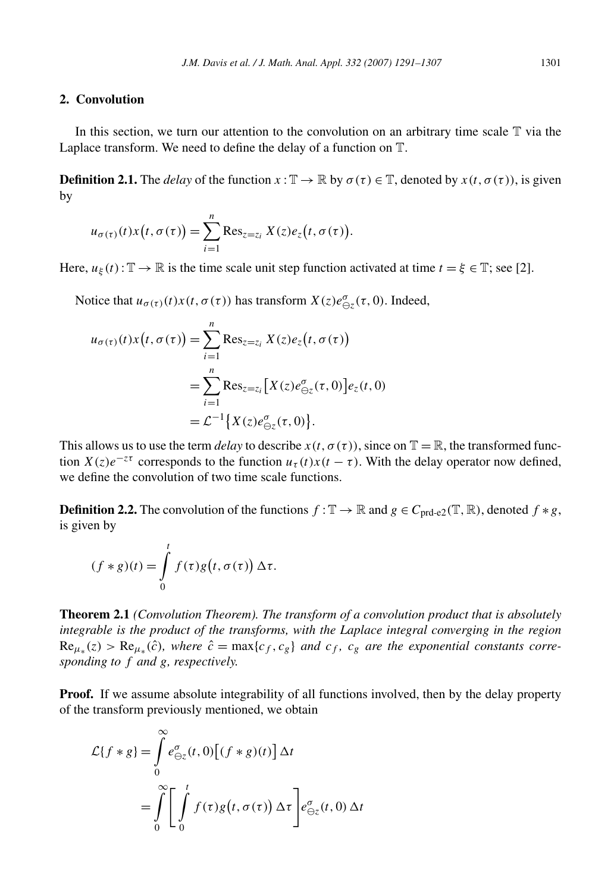### **2. Convolution**

In this section, we turn our attention to the convolution on an arbitrary time scale  $T$  via the Laplace transform. We need to define the delay of a function on T.

**Definition 2.1.** The *delay* of the function  $x : \mathbb{T} \to \mathbb{R}$  by  $\sigma(\tau) \in \mathbb{T}$ , denoted by  $x(t, \sigma(\tau))$ , is given by

$$
u_{\sigma(\tau)}(t)x(t,\sigma(\tau))=\sum_{i=1}^n\mathrm{Res}_{z=z_i}X(z)e_z(t,\sigma(\tau)).
$$

Here,  $u_{\xi}(t)$ :  $\mathbb{T} \to \mathbb{R}$  is the time scale unit step function activated at time  $t = \xi \in \mathbb{T}$ ; see [2].

Notice that  $u_{\sigma(\tau)}(t)x(t, \sigma(\tau))$  has transform  $X(z)e^{\sigma}_{\Theta z}(\tau, 0)$ . Indeed,

$$
u_{\sigma(\tau)}(t)x(t,\sigma(\tau)) = \sum_{i=1}^{n} \text{Res}_{z=z_i} X(z)e_z(t,\sigma(\tau))
$$
  
= 
$$
\sum_{i=1}^{n} \text{Res}_{z=z_i} [X(z)e_{\ominus z}^{\sigma}(\tau,0)]e_z(t,0)
$$
  
= 
$$
\mathcal{L}^{-1} \{ X(z)e_{\ominus z}^{\sigma}(\tau,0) \}.
$$

This allows us to use the term *delay* to describe  $x(t, \sigma(\tau))$ , since on  $\mathbb{T} = \mathbb{R}$ , the transformed function  $X(z)e^{-z\tau}$  corresponds to the function  $u_\tau(t)x(t-\tau)$ . With the delay operator now defined, we define the convolution of two time scale functions.

**Definition 2.2.** The convolution of the functions  $f : \mathbb{T} \to \mathbb{R}$  and  $g \in C_{\text{ord-}e2}(\mathbb{T}, \mathbb{R})$ , denoted  $f * g$ , is given by

$$
(f * g)(t) = \int_{0}^{t} f(\tau)g(t, \sigma(\tau)) \Delta \tau.
$$

**Theorem 2.1** *(Convolution Theorem). The transform of a convolution product that is absolutely integrable is the product of the transforms, with the Laplace integral converging in the region*  $\text{Re}_{\mu_*}(z) > \text{Re}_{\mu_*}(\hat{c})$ , where  $\hat{c} = \max\{c_f, c_g\}$  and  $c_f$ ,  $c_g$  are the exponential constants corre*sponding to f and g, respectively.*

**Proof.** If we assume absolute integrability of all functions involved, then by the delay property of the transform previously mentioned, we obtain

$$
\mathcal{L}\lbrace f * g \rbrace = \int_{0}^{\infty} e_{\Theta z}^{\sigma}(t,0) \big[ (f * g)(t) \big] \Delta t
$$

$$
= \int_{0}^{\infty} \left[ \int_{0}^{t} f(\tau) g(t,\sigma(\tau)) \Delta \tau \right] e_{\Theta z}^{\sigma}(t,0) \Delta t
$$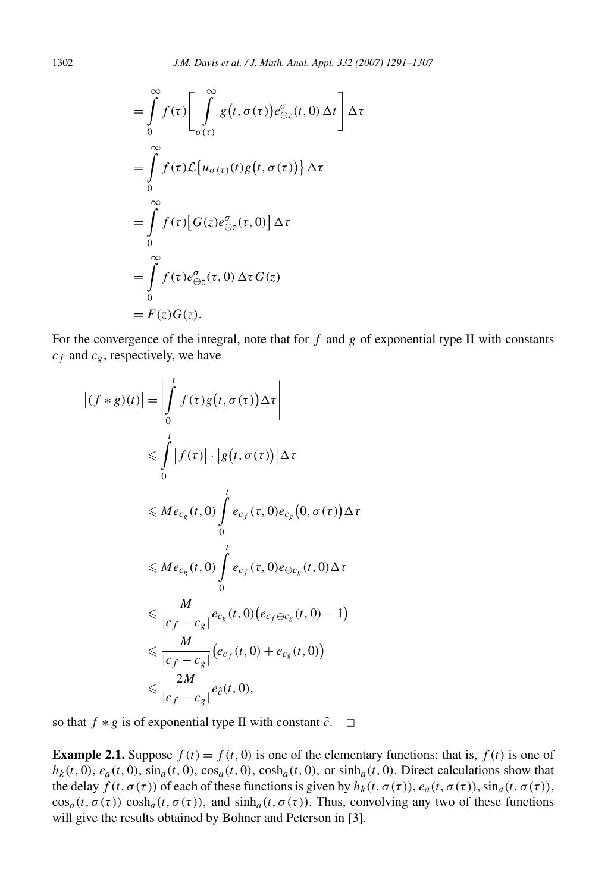$$
= \int_{0}^{\infty} f(\tau) \left[ \int_{\sigma(\tau)}^{\infty} g(t, \sigma(\tau)) e_{\Theta z}^{\sigma}(t, 0) \Delta t \right] \Delta \tau
$$
  
\n
$$
= \int_{0}^{\infty} f(\tau) \mathcal{L} \{ u_{\sigma(\tau)}(t) g(t, \sigma(\tau)) \} \Delta \tau
$$
  
\n
$$
= \int_{0}^{\infty} f(\tau) \left[ G(z) e_{\Theta z}^{\sigma}(\tau, 0) \right] \Delta \tau
$$
  
\n
$$
= \int_{0}^{\infty} f(\tau) e_{\Theta z}^{\sigma}(\tau, 0) \Delta \tau G(z)
$$
  
\n
$$
= F(z) G(z).
$$

For the convergence of the integral, note that for  $f$  and  $g$  of exponential type II with constants  $c_f$  and  $c_g$ , respectively, we have

$$
\left| (f * g)(t) \right| = \left| \int_{0}^{t} f(\tau)g(t, \sigma(\tau)) \Delta \tau \right|
$$
  
\n
$$
\leq \int_{0}^{t} |f(\tau)| \cdot |g(t, \sigma(\tau))| \Delta \tau
$$
  
\n
$$
\leq Me_{c_{g}}(t, 0) \int_{0}^{t} e_{c_{f}}(\tau, 0) e_{c_{g}}(0, \sigma(\tau)) \Delta \tau
$$
  
\n
$$
\leq Me_{c_{g}}(t, 0) \int_{0}^{t} e_{c_{f}}(\tau, 0) e_{\Theta c_{g}}(t, 0) \Delta \tau
$$
  
\n
$$
\leq \frac{M}{|c_{f} - c_{g}|} e_{c_{g}}(t, 0) (e_{c_{f} \Theta c_{g}}(t, 0) - 1)
$$
  
\n
$$
\leq \frac{M}{|c_{f} - c_{g}|} (e_{c_{f}}(t, 0) + e_{c_{g}}(t, 0))
$$
  
\n
$$
\leq \frac{2M}{|c_{f} - c_{g}|} e_{\hat{c}}(t, 0),
$$

so that  $f * g$  is of exponential type II with constant  $\hat{c}$ .  $\Box$ 

**Example 2.1.** Suppose  $f(t) = f(t, 0)$  is one of the elementary functions: that is,  $f(t)$  is one of  $h_k(t, 0)$ ,  $e_a(t, 0)$ ,  $\sin_a(t, 0)$ ,  $\cos_a(t, 0)$ ,  $\cosh_a(t, 0)$ , or  $\sinh_a(t, 0)$ . Direct calculations show that the delay  $f(t, \sigma(\tau))$  of each of these functions is given by  $h_k(t, \sigma(\tau))$ ,  $e_a(t, \sigma(\tau))$ ,  $\sin_a(t, \sigma(\tau))$ ,  $\cos_a(t, \sigma(\tau))$  cosh<sub>a</sub>(t,  $\sigma(\tau)$ ), and  $\sinh_a(t, \sigma(\tau))$ . Thus, convolving any two of these functions will give the results obtained by Bohner and Peterson in [3].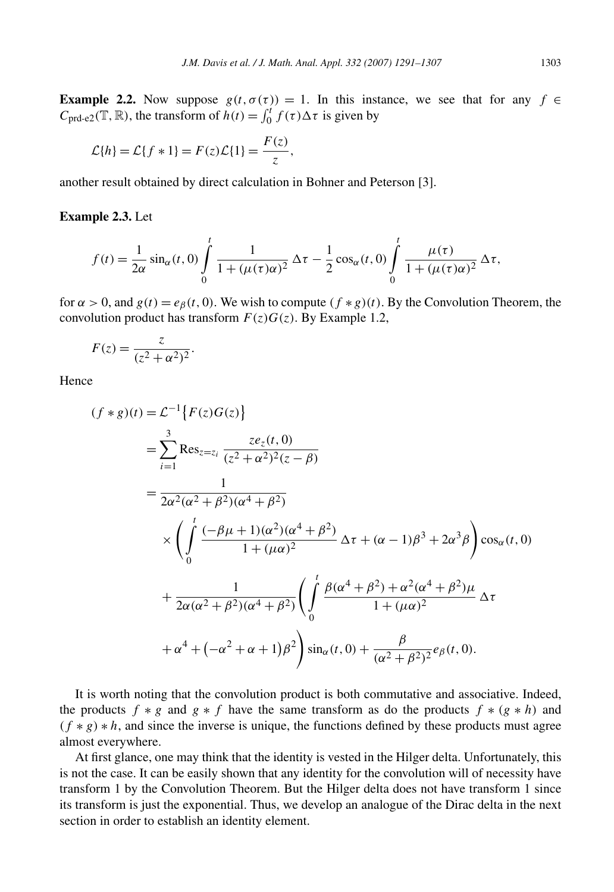**Example 2.2.** Now suppose  $g(t, \sigma(\tau)) = 1$ . In this instance, we see that for any  $f \in$  $C_{\text{prd-e2}}(\mathbb{T}, \mathbb{R})$ , the transform of  $h(t) = \int_0^t f(\tau) \Delta \tau$  is given by

$$
\mathcal{L}{h} = \mathcal{L}{f * 1} = F(z)\mathcal{L}{1} = \frac{F(z)}{z},
$$

another result obtained by direct calculation in Bohner and Peterson [3].

#### **Example 2.3.** Let

$$
f(t) = \frac{1}{2\alpha} \sin_{\alpha}(t, 0) \int_{0}^{t} \frac{1}{1 + (\mu(\tau)\alpha)^{2}} \Delta \tau - \frac{1}{2} \cos_{\alpha}(t, 0) \int_{0}^{t} \frac{\mu(\tau)}{1 + (\mu(\tau)\alpha)^{2}} \Delta \tau,
$$

for  $\alpha > 0$ , and  $g(t) = e_\beta(t, 0)$ . We wish to compute  $(f * g)(t)$ . By the Convolution Theorem, the convolution product has transform  $F(z)G(z)$ . By Example 1.2,

$$
F(z) = \frac{z}{(z^2 + \alpha^2)^2}.
$$

Hence

$$
(f * g)(t) = \mathcal{L}^{-1}\left\{F(z)G(z)\right\}
$$
  
=  $\sum_{i=1}^{3} \text{Res}_{z=z_{i}} \frac{ze_{z}(t, 0)}{(z^{2} + \alpha^{2})^{2}(z - \beta)}$   
=  $\frac{1}{2\alpha^{2}(\alpha^{2} + \beta^{2})(\alpha^{4} + \beta^{2})}$   

$$
\times \left(\int_{0}^{t} \frac{(-\beta\mu + 1)(\alpha^{2})(\alpha^{4} + \beta^{2})}{1 + (\mu\alpha)^{2}} \Delta \tau + (\alpha - 1)\beta^{3} + 2\alpha^{3}\beta\right) \cos_{\alpha}(t, 0)
$$
  
+  $\frac{1}{2\alpha(\alpha^{2} + \beta^{2})(\alpha^{4} + \beta^{2})} \left(\int_{0}^{t} \frac{\beta(\alpha^{4} + \beta^{2}) + \alpha^{2}(\alpha^{4} + \beta^{2})\mu}{1 + (\mu\alpha)^{2}} \Delta \tau + \alpha^{4} + (-\alpha^{2} + \alpha + 1)\beta^{2}\right) \sin_{\alpha}(t, 0) + \frac{\beta}{(\alpha^{2} + \beta^{2})^{2}} e_{\beta}(t, 0).$ 

It is worth noting that the convolution product is both commutative and associative. Indeed, the products  $f * g$  and  $g * f$  have the same transform as do the products  $f * (g * h)$  and *(f* ∗ *g*) ∗ *h*, and since the inverse is unique, the functions defined by these products must agree almost everywhere.

At first glance, one may think that the identity is vested in the Hilger delta. Unfortunately, this is not the case. It can be easily shown that any identity for the convolution will of necessity have transform 1 by the Convolution Theorem. But the Hilger delta does not have transform 1 since its transform is just the exponential. Thus, we develop an analogue of the Dirac delta in the next section in order to establish an identity element.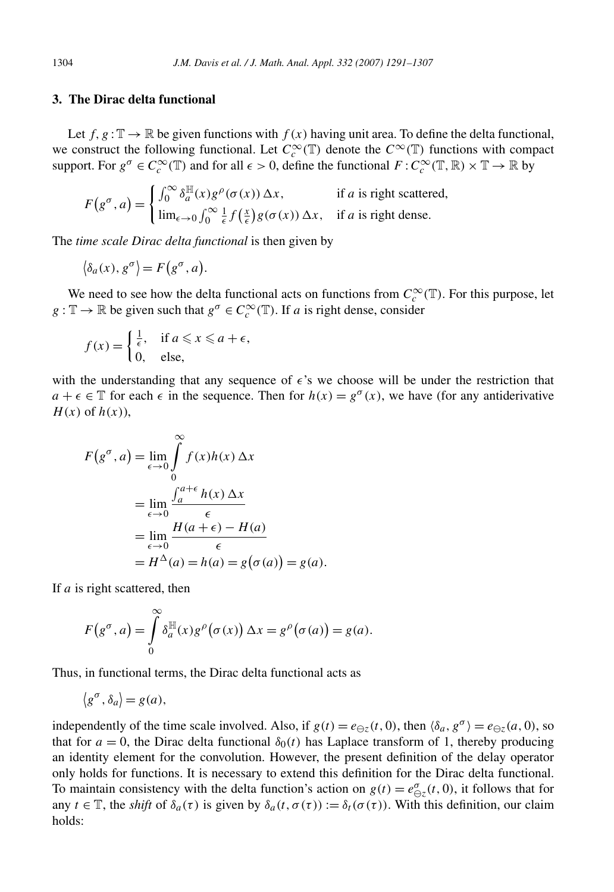### **3. The Dirac delta functional**

Let  $f, g : \mathbb{T} \to \mathbb{R}$  be given functions with  $f(x)$  having unit area. To define the delta functional, we construct the following functional. Let  $C_c^{\infty}(\mathbb{T})$  denote the  $C^{\infty}(\mathbb{T})$  functions with compact support. For  $g^{\sigma} \in C_c^{\infty}(\mathbb{T})$  and for all  $\epsilon > 0$ , define the functional  $F: C_c^{\infty}(\mathbb{T}, \mathbb{R}) \times \mathbb{T} \to \mathbb{R}$  by

$$
F(g^{\sigma}, a) = \begin{cases} \int_0^{\infty} \delta_a^{\mathbb{H}}(x) g^{\rho}(\sigma(x)) \Delta x, & \text{if } a \text{ is right scattered,} \\ \lim_{\epsilon \to 0} \int_0^{\infty} \frac{1}{\epsilon} f(\frac{x}{\epsilon}) g(\sigma(x)) \Delta x, & \text{if } a \text{ is right dense.} \end{cases}
$$

The *time scale Dirac delta functional* is then given by

$$
\langle \delta_a(x), g^\sigma \rangle = F(g^\sigma, a).
$$

We need to see how the delta functional acts on functions from  $C_c^{\infty}(\mathbb{T})$ . For this purpose, let  $g: \mathbb{T} \to \mathbb{R}$  be given such that  $g^{\sigma} \in C_c^{\infty}(\mathbb{T})$ . If *a* is right dense, consider

$$
f(x) = \begin{cases} \frac{1}{\epsilon}, & \text{if } a \leq x \leq a + \epsilon, \\ 0, & \text{else,} \end{cases}
$$

with the understanding that any sequence of  $\epsilon$ 's we choose will be under the restriction that  $a + \epsilon \in \mathbb{T}$  for each  $\epsilon$  in the sequence. Then for  $h(x) = g^{\sigma}(x)$ , we have (for any antiderivative *H(x)* of *h(x)*),

$$
F(g^{\sigma}, a) = \lim_{\epsilon \to 0} \int_{0}^{\infty} f(x)h(x) \Delta x
$$
  
= 
$$
\lim_{\epsilon \to 0} \frac{\int_{a}^{a+\epsilon} h(x) \Delta x}{\epsilon}
$$
  
= 
$$
\lim_{\epsilon \to 0} \frac{H(a+\epsilon) - H(a)}{\epsilon}
$$
  
= 
$$
H^{\Delta}(a) = h(a) = g(\sigma(a)) = g(a).
$$

If *a* is right scattered, then

$$
F(g^{\sigma}, a) = \int_{0}^{\infty} \delta_a^{\mathbb{H}}(x) g^{\rho}(\sigma(x)) \Delta x = g^{\rho}(\sigma(a)) = g(a).
$$

Thus, in functional terms, the Dirac delta functional acts as

$$
\langle g^{\sigma}, \delta_a \rangle = g(a),
$$

independently of the time scale involved. Also, if  $g(t) = e_{\Theta z}(t, 0)$ , then  $\langle \delta_a, g^\sigma \rangle = e_{\Theta z}(a, 0)$ , so that for  $a = 0$ , the Dirac delta functional  $\delta_0(t)$  has Laplace transform of 1, thereby producing an identity element for the convolution. However, the present definition of the delay operator only holds for functions. It is necessary to extend this definition for the Dirac delta functional. To maintain consistency with the delta function's action on  $g(t) = e_{\Theta z}^{\sigma}(t, 0)$ , it follows that for any  $t \in \mathbb{T}$ , the *shift* of  $\delta_a(\tau)$  is given by  $\delta_a(t, \sigma(\tau)) := \delta_t(\sigma(\tau))$ . With this definition, our claim holds: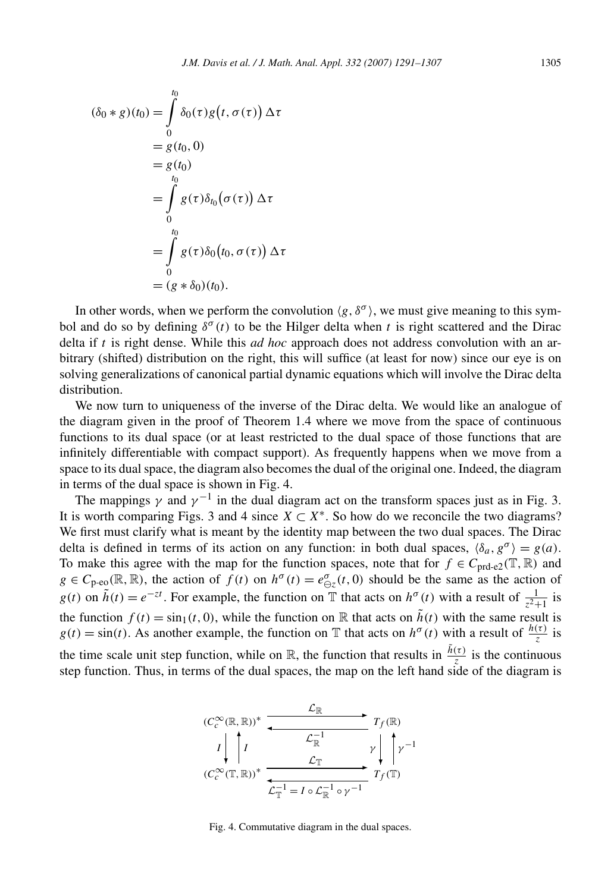$$
(\delta_0 * g)(t_0) = \int_0^{t_0} \delta_0(\tau) g(t, \sigma(\tau)) \Delta \tau
$$
  
=  $g(t_0, 0)$   
=  $g(t_0)$   
=  $\int_0^{t_0} g(\tau) \delta_{t_0}(\sigma(\tau)) \Delta \tau$   
=  $\int_0^{t_0} g(\tau) \delta_0(t_0, \sigma(\tau)) \Delta \tau$   
=  $(g * \delta_0)(t_0).$ 

In other words, when we perform the convolution  $\langle g, \delta^{\sigma} \rangle$ , we must give meaning to this symbol and do so by defining  $\delta^{\sigma}(t)$  to be the Hilger delta when t is right scattered and the Dirac delta if *t* is right dense. While this *ad hoc* approach does not address convolution with an arbitrary (shifted) distribution on the right, this will suffice (at least for now) since our eye is on solving generalizations of canonical partial dynamic equations which will involve the Dirac delta distribution.

We now turn to uniqueness of the inverse of the Dirac delta. We would like an analogue of the diagram given in the proof of Theorem 1.4 where we move from the space of continuous functions to its dual space (or at least restricted to the dual space of those functions that are infinitely differentiable with compact support). As frequently happens when we move from a space to its dual space, the diagram also becomes the dual of the original one. Indeed, the diagram in terms of the dual space is shown in Fig. 4.

The mappings  $\gamma$  and  $\gamma^{-1}$  in the dual diagram act on the transform spaces just as in Fig. 3. It is worth comparing Figs. 3 and 4 since  $X \subset X^*$ . So how do we reconcile the two diagrams? We first must clarify what is meant by the identity map between the two dual spaces. The Dirac delta is defined in terms of its action on any function: in both dual spaces,  $\langle \delta_a, g^\sigma \rangle = g(a)$ . To make this agree with the map for the function spaces, note that for  $f \in C_{\text{prd-e2}}(\mathbb{T}, \mathbb{R})$  and  $g \in C_{p\text{-}eo}(\mathbb{R}, \mathbb{R})$ , the action of  $f(t)$  on  $h^{\sigma}(t) = e^{\sigma}_{\Theta z}(t, 0)$  should be the same as the action of *g(t)* on  $\tilde{h}(t) = e^{-zt}$ . For example, the function on T that acts on  $h^{\sigma}(t)$  with a result of  $\frac{1}{z^2+1}$  is the function  $f(t) = \sin_1(t, 0)$ , while the function on R that acts on  $\tilde{h}(t)$  with the same result is  $g(t) = \sin(t)$ . As another example, the function on T that acts on  $h^{\sigma}(t)$  with a result of  $\frac{h(\tau)}{z}$  is the time scale unit step function, while on  $\mathbb{R}$ , the function that results in  $\frac{\tilde{h}(\tau)}{z}$  is the continuous step function. Thus, in terms of the dual spaces, the map on the left hand side of the diagram is



Fig. 4. Commutative diagram in the dual spaces.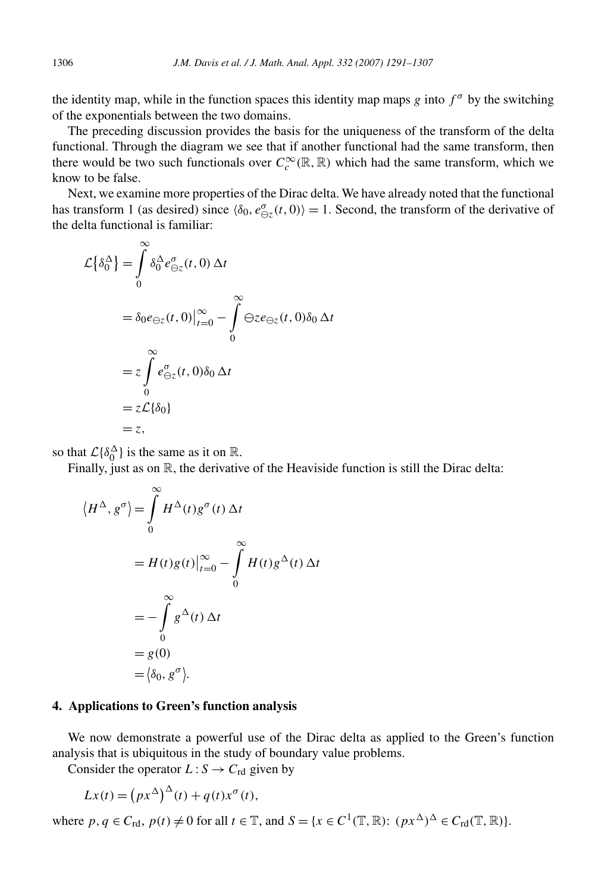the identity map, while in the function spaces this identity map maps *g* into  $f^{\sigma}$  by the switching of the exponentials between the two domains.

The preceding discussion provides the basis for the uniqueness of the transform of the delta functional. Through the diagram we see that if another functional had the same transform, then there would be two such functionals over  $C_c^{\infty}(\mathbb{R}, \mathbb{R})$  which had the same transform, which we know to be false.

Next, we examine more properties of the Dirac delta. We have already noted that the functional has transform 1 (as desired) since  $\langle \delta_0, e_{\ominus z}^{\sigma}(t,0) \rangle = 1$ . Second, the transform of the derivative of the delta functional is familiar:

$$
\mathcal{L}\left\{\delta_0^{\Delta}\right\} = \int_0^{\infty} \delta_0^{\Delta} e_{\Theta z}^{\sigma}(t,0) \Delta t
$$
  
=  $\delta_0 e_{\Theta z}(t,0) \Big|_{t=0}^{\infty} - \int_0^{\infty} \Theta z e_{\Theta z}(t,0) \delta_0 \Delta t$   
=  $z \int_0^{\infty} e_{\Theta z}^{\sigma}(t,0) \delta_0 \Delta t$   
=  $z \mathcal{L}\left\{\delta_0\right\}$   
=  $z$ ,

so that  $\mathcal{L}\lbrace \delta_0^{\Delta} \rbrace$  is the same as it on  $\mathbb{R}$ .

Finally, just as on  $\mathbb R$ , the derivative of the Heaviside function is still the Dirac delta:

$$
\langle H^{\Delta}, g^{\sigma} \rangle = \int_{0}^{\infty} H^{\Delta}(t) g^{\sigma}(t) \Delta t
$$
  
=  $H(t)g(t)|_{t=0}^{\infty} - \int_{0}^{\infty} H(t) g^{\Delta}(t) \Delta t$   
=  $-\int_{0}^{\infty} g^{\Delta}(t) \Delta t$   
=  $g(0)$   
=  $\langle \delta_0, g^{\sigma} \rangle$ .

#### **4. Applications to Green's function analysis**

We now demonstrate a powerful use of the Dirac delta as applied to the Green's function analysis that is ubiquitous in the study of boundary value problems.

Consider the operator  $L: S \to C_{\text{rd}}$  given by

$$
Lx(t) = (px^{\Delta})^{\Delta}(t) + q(t)x^{\sigma}(t),
$$

where  $p, q \in C_{\text{rd}}, p(t) \neq 0$  for all  $t \in \mathbb{T}$ , and  $S = \{x \in C^1(\mathbb{T}, \mathbb{R}) : (px^{\Delta})^{\Delta} \in C_{\text{rd}}(\mathbb{T}, \mathbb{R})\}.$